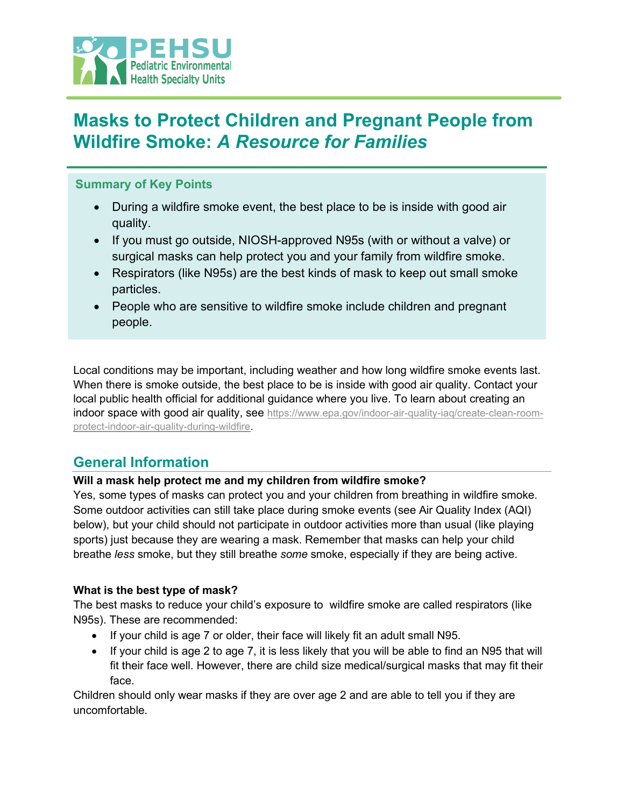

# **Masks to Protect Children and Pregnant People from Wildfire Smoke:** *A Resource for Families*

### **Summary of Key Points**

- During a wildfire smoke event, the best place to be is inside with good air quality.
- If you must go outside, NIOSH-approved N95s (with or without a valve) or surgical masks can help protect you and your family from wildfire smoke.
- Respirators (like N95s) are the best kinds of mask to keep out small smoke particles.
- People who are sensitive to wildfire smoke include children and pregnant people.

Local conditions may be important, including weather and how long wildfire smoke events last. When there is smoke outside, the best place to be is inside with good air quality. Contact your local public health official for additional guidance where you live. To learn about creating an indoor space with good air quality, see [https://www.epa.gov/indoor-air-quality-iaq/create-clean-room](https://www.epa.gov/indoor-air-quality-iaq/create-clean-room-protect-indoor-air-quality-during-wildfire)[protect-indoor-air-quality-during-wildfire.](https://www.epa.gov/indoor-air-quality-iaq/create-clean-room-protect-indoor-air-quality-during-wildfire)

## **General Information**

### **Will a mask help protect me and my children from wildfire smoke?**

Yes, some types of masks can protect you and your children from breathing in wildfire smoke. Some outdoor activities can still take place during smoke events (see Air Quality Index (AQI) below), but your child should not participate in outdoor activities more than usual (like playing sports) just because they are wearing a mask. Remember that masks can help your child breathe *less* smoke, but they still breathe *some* smoke, especially if they are being active.

#### **What is the best type of mask?**

The best masks to reduce your child's exposure to wildfire smoke are called respirators (like N95s). These are recommended:

- If your child is age 7 or older, their face will likely fit an adult small N95.
- If your child is age 2 to age 7, it is less likely that you will be able to find an N95 that will fit their face well. However, there are child size medical/surgical masks that may fit their face.

Children should only wear masks if they are over age 2 and are able to tell you if they are uncomfortable.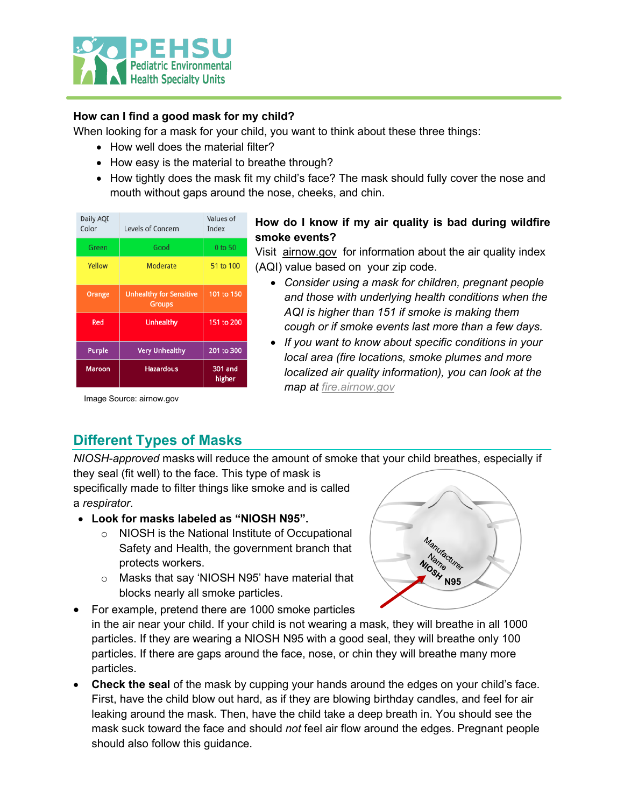

### **How can I find a good mask for my child?**

When looking for a mask for your child, you want to think about these three things:

- How well does the material filter?
- How easy is the material to breathe through?
- How tightly does the mask fit my child's face? The mask should fully cover the nose and mouth without gaps around the nose, cheeks, and chin.

| Daily AQI<br>Color | Levels of Concern                               | Values of<br>Index |
|--------------------|-------------------------------------------------|--------------------|
| Green              | Good                                            | 0 to 50            |
| Yellow             | Moderate                                        | 51 to 100          |
| Orange             | <b>Unhealthy for Sensitive</b><br><b>Groups</b> | 101 to 150         |
| Red                | Unhealthy                                       | 151 to 200         |
| <b>Purple</b>      | <b>Very Unhealthy</b>                           | 201 to 300         |
| Maroon             | <b>Hazardous</b>                                | 301 and<br>higher  |

### **How do I know if my air quality is bad during wildfire smoke events?**

Visit [airnow.gov](http://airnow.gov/) for information about the air quality index (AQI) value based on your zip code.

- *Consider using a mask for children, pregnant people and those with underlying health conditions when the AQI is higher than 151 if smoke is making them cough or if smoke events last more than a few days.*
- *If you want to know about specific conditions in your local area (fire locations, smoke plumes and more localized air quality information), you can look at the map at [fire.airnow.gov](http://fire.airnow.gov/)*

Image Source: airnow.gov

## **Different Types of Masks**

*NIOSH-approved* masks will reduce the amount of smoke that your child breathes, especially if they seal (fit well) to the face. This type of mask is

specifically made to filter things like smoke and is called a *respirator*.

- **Look for masks labeled as "NIOSH N95".** 
	- o NIOSH is the National Institute of Occupational Safety and Health, the government branch that protects workers.
	- o Masks that say 'NIOSH N95' have material that blocks nearly all smoke particles.



• For example, pretend there are 1000 smoke particles in the air near your child. If your child is not wearing a mask, they will breathe in all 1000 particles. If they are wearing a NIOSH N95 with a good seal, they will breathe only 100 particles. If there are gaps around the face, nose, or chin they will breathe many more particles.

• **Check the seal** of the mask by cupping your hands around the edges on your child's face. First, have the child blow out hard, as if they are blowing birthday candles, and feel for air leaking around the mask. Then, have the child take a deep breath in. You should see the mask suck toward the face and should *not* feel air flow around the edges. Pregnant people should also follow this guidance.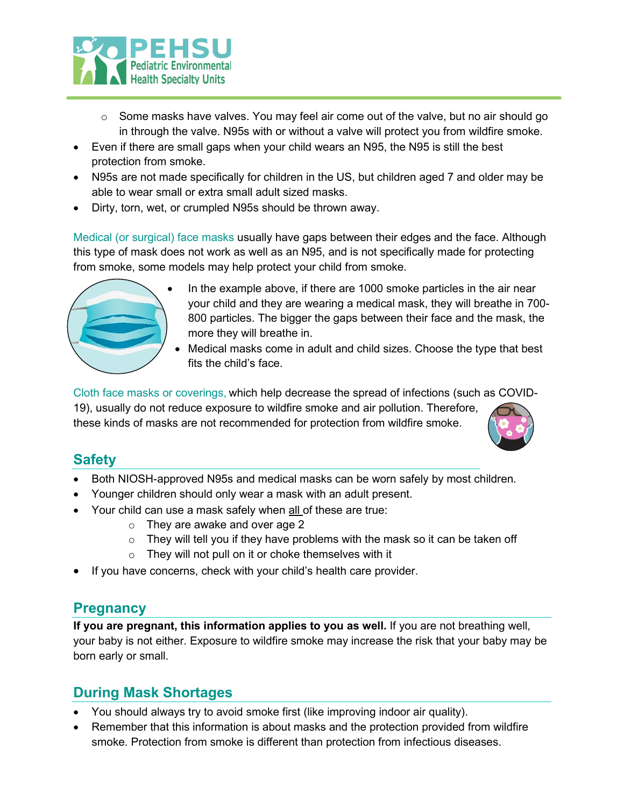

- $\circ$  Some masks have valves. You may feel air come out of the valve, but no air should go in through the valve. N95s with or without a valve will protect you from wildfire smoke.
- Even if there are small gaps when your child wears an N95, the N95 is still the best protection from smoke.
- N95s are not made specifically for children in the US, but children aged 7 and older may be able to wear small or extra small adult sized masks.
- Dirty, torn, wet, or crumpled N95s should be thrown away.

Medical (or surgical) face masks usually have gaps between their edges and the face. Although this type of mask does not work as well as an N95, and is not specifically made for protecting from smoke, some models may help protect your child from smoke.



- In the example above, if there are 1000 smoke particles in the air near your child and they are wearing a medical mask, they will breathe in 700- 800 particles. The bigger the gaps between their face and the mask, the more they will breathe in.
- Medical masks come in adult and child sizes. Choose the type that best fits the child's face.

Cloth face masks or coverings, which help decrease the spread of infections (such as COVID-19), usually do not reduce exposure to wildfire smoke and air pollution. Therefore,

these kinds of masks are not recommended for protection from wildfire smoke.



## **Safety**

- Both NIOSH-approved N95s and medical masks can be worn safely by most children.
- Younger children should only wear a mask with an adult present.
- Your child can use a mask safely when all of these are true:
	- o They are awake and over age 2
	- $\circ$  They will tell you if they have problems with the mask so it can be taken off
	- $\circ$  They will not pull on it or choke themselves with it
- If you have concerns, check with your child's health care provider.

### **Pregnancy**

**If you are pregnant, this information applies to you as well.** If you are not breathing well, your baby is not either. Exposure to wildfire smoke may increase the risk that your baby may be born early or small.

## **During Mask Shortages**

- You should always try to avoid smoke first (like improving indoor air quality).
- Remember that this information is about masks and the protection provided from wildfire smoke. Protection from smoke is different than protection from infectious diseases.